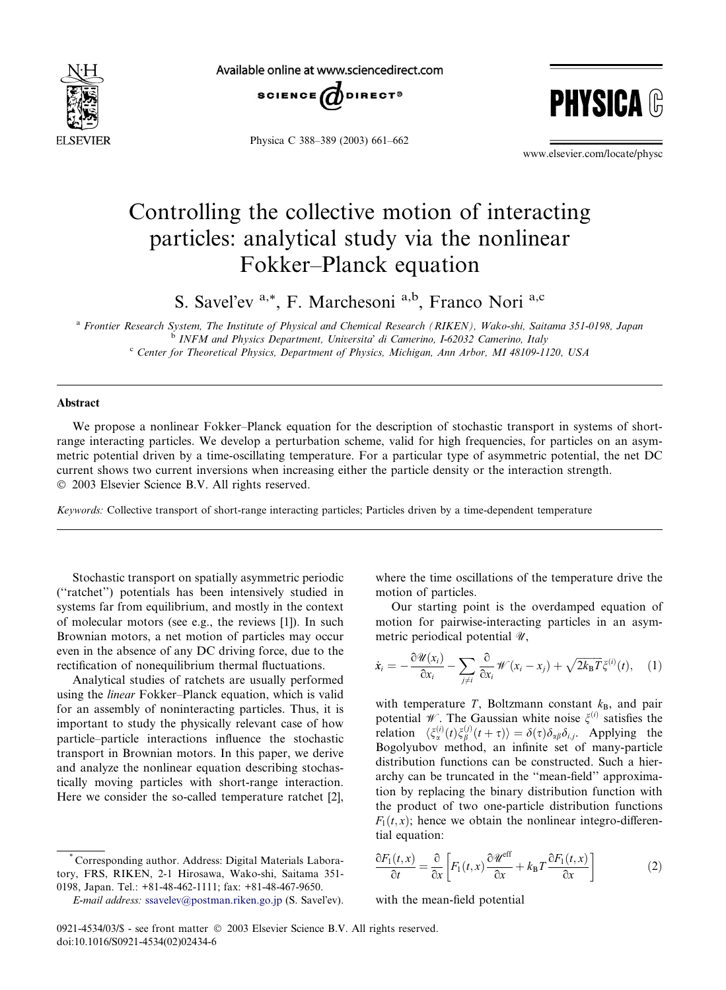

Available online at www.sciencedirect.com



Physica C 388–389 (2003) 661–662



www.elsevier.com/locate/physc

## Controlling the collective motion of interacting particles: analytical study via the nonlinear Fokker–Planck equation

S. Savel'ev <sup>a,\*</sup>, F. Marchesoni <sup>a,b</sup>, Franco Nori <sup>a,c</sup>

<sup>a</sup> Frontier Research System, The Institute of Physical and Chemical Research (RIKEN), Wako-shi, Saitama 351-0198, Japan  $\overrightarrow{b}$  INFM and Physics Department, Universita' di Camerino, I-62032 Camerino, Italy conter for Theoretical Physics, Department of Physics, Michigan, Ann Arbor, MI 48109-1120, USA

## Abstract

We propose a nonlinear Fokker–Planck equation for the description of stochastic transport in systems of shortrange interacting particles. We develop a perturbation scheme, valid for high frequencies, for particles on an asymmetric potential driven by a time-oscillating temperature. For a particular type of asymmetric potential, the net DC current shows two current inversions when increasing either the particle density or the interaction strength. 2003 Elsevier Science B.V. All rights reserved.

Keywords: Collective transport of short-range interacting particles; Particles driven by a time-dependent temperature

Stochastic transport on spatially asymmetric periodic (''ratchet'') potentials has been intensively studied in systems far from equilibrium, and mostly in the context of molecular motors (see e.g., the reviews [1]). In such Brownian motors, a net motion of particles may occur even in the absence of any DC driving force, due to the rectification of nonequilibrium thermal fluctuations.

Analytical studies of ratchets are usually performed using the linear Fokker–Planck equation, which is valid for an assembly of noninteracting particles. Thus, it is important to study the physically relevant case of how particle–particle interactions influence the stochastic transport in Brownian motors. In this paper, we derive and analyze the nonlinear equation describing stochastically moving particles with short-range interaction. Here we consider the so-called temperature ratchet [2],

where the time oscillations of the temperature drive the motion of particles.

Our starting point is the overdamped equation of motion for pairwise-interacting particles in an asymmetric periodical potential  $\mathcal{U}$ ,

$$
\dot{x}_i = -\frac{\partial \mathscr{U}(x_i)}{\partial x_i} - \sum_{j \neq i} \frac{\partial}{\partial x_i} \mathscr{W}(x_i - x_j) + \sqrt{2k_B T} \zeta^{(i)}(t), \quad (1)
$$

with temperature  $T$ , Boltzmann constant  $k_B$ , and pair potential W. The Gaussian white noise  $\xi^{(i)}$  satisfies the relation  $\langle \xi_{\alpha}^{(i)}(t) \xi_{\beta}^{(j)}(t+\tau) \rangle = \delta(\tau) \delta_{\alpha\beta} \delta_{i,j}$ . Applying the Bogolyubov method, an infinite set of many-particle distribution functions can be constructed. Such a hierarchy can be truncated in the ''mean-field'' approximation by replacing the binary distribution function with the product of two one-particle distribution functions  $F_1(t, x)$ ; hence we obtain the nonlinear integro-differential equation:

$$
\frac{\partial F_1(t,x)}{\partial t} = \frac{\partial}{\partial x} \left[ F_1(t,x) \frac{\partial \mathcal{U}^{\text{eff}}}{\partial x} + k_B T \frac{\partial F_1(t,x)}{\partial x} \right]
$$
(2)

with the mean-field potential

<sup>\*</sup> Corresponding author. Address: Digital Materials Laboratory, FRS, RIKEN, 2-1 Hirosawa, Wako-shi, Saitama 351- 0198, Japan. Tel.: +81-48-462-1111; fax: +81-48-467-9650.

 $E$ -mail address: [ssavelev@postman.riken.go.jp](mail to: ssavelev@postman.riken.go.jp) (S. Savel'ev).